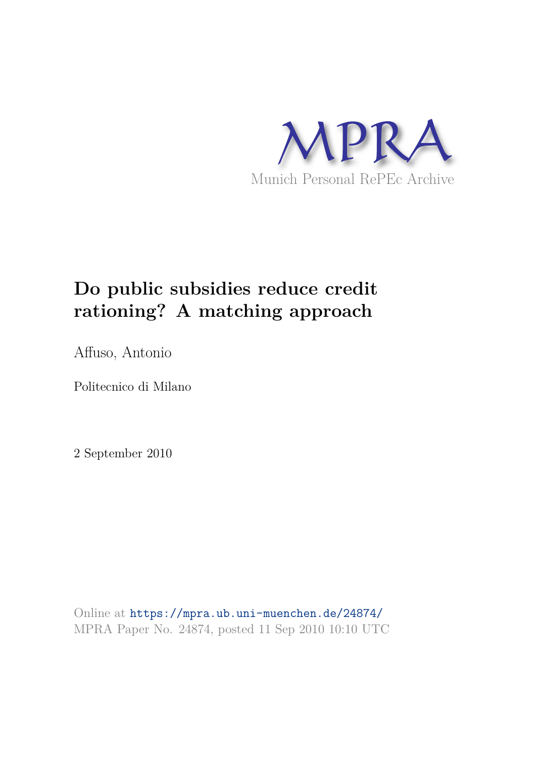

# **Do public subsidies reduce credit rationing? A matching approach**

Affuso, Antonio

Politecnico di Milano

2 September 2010

Online at https://mpra.ub.uni-muenchen.de/24874/ MPRA Paper No. 24874, posted 11 Sep 2010 10:10 UTC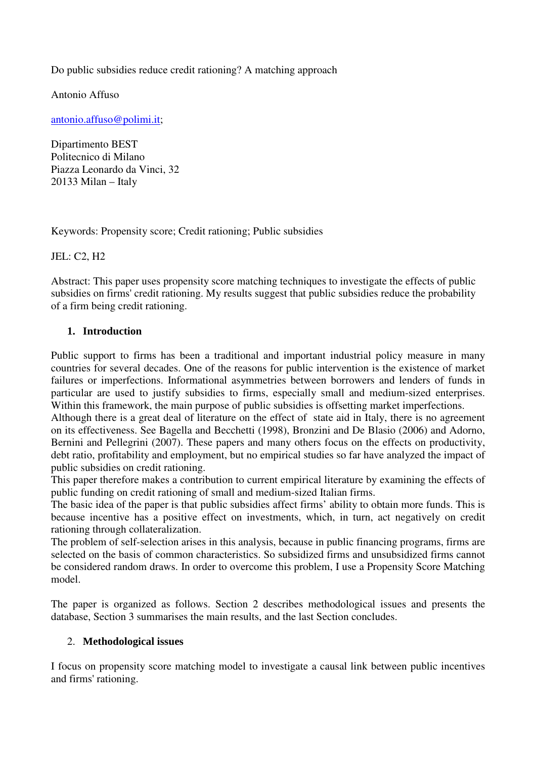Do public subsidies reduce credit rationing? A matching approach

Antonio Affuso

antonio.affuso@polimi.it;

Dipartimento BEST Politecnico di Milano Piazza Leonardo da Vinci, 32 20133 Milan – Italy

Keywords: Propensity score; Credit rationing; Public subsidies

JEL: C2, H2

Abstract: This paper uses propensity score matching techniques to investigate the effects of public subsidies on firms' credit rationing. My results suggest that public subsidies reduce the probability of a firm being credit rationing.

### **1. Introduction**

Public support to firms has been a traditional and important industrial policy measure in many countries for several decades. One of the reasons for public intervention is the existence of market failures or imperfections. Informational asymmetries between borrowers and lenders of funds in particular are used to justify subsidies to firms, especially small and medium-sized enterprises. Within this framework, the main purpose of public subsidies is offsetting market imperfections.

Although there is a great deal of literature on the effect of state aid in Italy, there is no agreement on its effectiveness. See Bagella and Becchetti (1998), Bronzini and De Blasio (2006) and Adorno, Bernini and Pellegrini (2007). These papers and many others focus on the effects on productivity, debt ratio, profitability and employment, but no empirical studies so far have analyzed the impact of public subsidies on credit rationing.

This paper therefore makes a contribution to current empirical literature by examining the effects of public funding on credit rationing of small and medium-sized Italian firms.

The basic idea of the paper is that public subsidies affect firms' ability to obtain more funds. This is because incentive has a positive effect on investments, which, in turn, act negatively on credit rationing through collateralization.

The problem of self-selection arises in this analysis, because in public financing programs, firms are selected on the basis of common characteristics. So subsidized firms and unsubsidized firms cannot be considered random draws. In order to overcome this problem, I use a Propensity Score Matching model.

The paper is organized as follows. Section 2 describes methodological issues and presents the database, Section 3 summarises the main results, and the last Section concludes.

### 2. **Methodological issues**

I focus on propensity score matching model to investigate a causal link between public incentives and firms' rationing.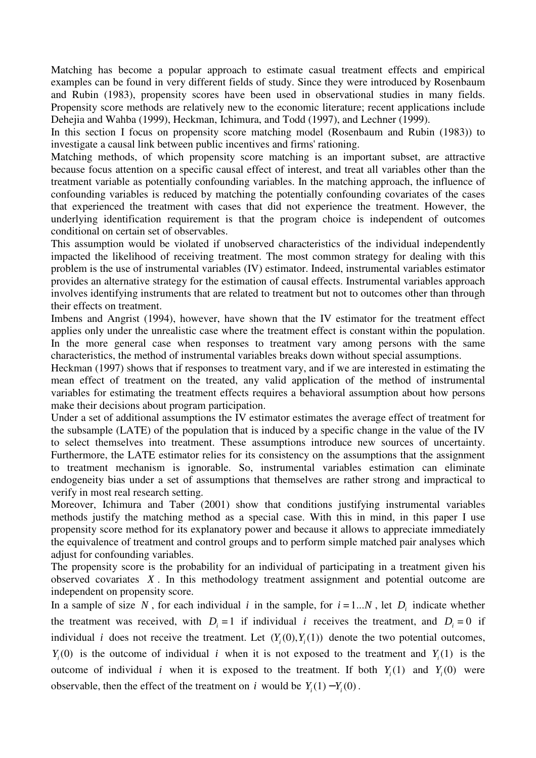Matching has become a popular approach to estimate casual treatment effects and empirical examples can be found in very different fields of study. Since they were introduced by Rosenbaum and Rubin (1983), propensity scores have been used in observational studies in many fields. Propensity score methods are relatively new to the economic literature; recent applications include Dehejia and Wahba (1999), Heckman, Ichimura, and Todd (1997), and Lechner (1999).

In this section I focus on propensity score matching model (Rosenbaum and Rubin (1983)) to investigate a causal link between public incentives and firms' rationing.

Matching methods, of which propensity score matching is an important subset, are attractive because focus attention on a specific causal effect of interest, and treat all variables other than the treatment variable as potentially confounding variables. In the matching approach, the influence of confounding variables is reduced by matching the potentially confounding covariates of the cases that experienced the treatment with cases that did not experience the treatment. However, the underlying identification requirement is that the program choice is independent of outcomes conditional on certain set of observables.

This assumption would be violated if unobserved characteristics of the individual independently impacted the likelihood of receiving treatment. The most common strategy for dealing with this problem is the use of instrumental variables (IV) estimator. Indeed, instrumental variables estimator provides an alternative strategy for the estimation of causal effects. Instrumental variables approach involves identifying instruments that are related to treatment but not to outcomes other than through their effects on treatment.

Imbens and Angrist (1994), however, have shown that the IV estimator for the treatment effect applies only under the unrealistic case where the treatment effect is constant within the population. In the more general case when responses to treatment vary among persons with the same characteristics, the method of instrumental variables breaks down without special assumptions.

Heckman (1997) shows that if responses to treatment vary, and if we are interested in estimating the mean effect of treatment on the treated, any valid application of the method of instrumental variables for estimating the treatment effects requires a behavioral assumption about how persons make their decisions about program participation.

Under a set of additional assumptions the IV estimator estimates the average effect of treatment for the subsample (LATE) of the population that is induced by a specific change in the value of the IV to select themselves into treatment. These assumptions introduce new sources of uncertainty. Furthermore, the LATE estimator relies for its consistency on the assumptions that the assignment to treatment mechanism is ignorable. So, instrumental variables estimation can eliminate endogeneity bias under a set of assumptions that themselves are rather strong and impractical to verify in most real research setting.

Moreover, Ichimura and Taber (2001) show that conditions justifying instrumental variables methods justify the matching method as a special case. With this in mind, in this paper I use propensity score method for its explanatory power and because it allows to appreciate immediately the equivalence of treatment and control groups and to perform simple matched pair analyses which adjust for confounding variables.

The propensity score is the probability for an individual of participating in a treatment given his observed covariates *X* . In this methodology treatment assignment and potential outcome are independent on propensity score.

In a sample of size N, for each individual i in the sample, for  $i = 1...N$ , let  $D_i$  indicate whether the treatment was received, with  $D_i = 1$  if individual *i* receives the treatment, and  $D_i = 0$  if individual *i* does not receive the treatment. Let  $(Y_i(0), Y_i(1))$  denote the two potential outcomes,  $Y_i(0)$  is the outcome of individual *i* when it is not exposed to the treatment and  $Y_i(1)$  is the outcome of individual *i* when it is exposed to the treatment. If both  $Y_i(1)$  and  $Y_i(0)$  were observable, then the effect of the treatment on *i* would be  $Y_i(1) - Y_i(0)$ .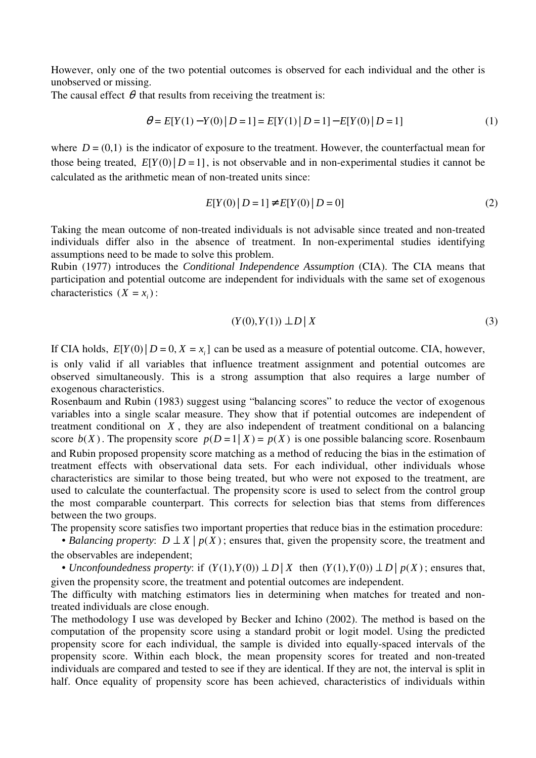However, only one of the two potential outcomes is observed for each individual and the other is unobserved or missing.

The causal effect  $\theta$  that results from receiving the treatment is:

$$
\theta = E[Y(1) - Y(0) | D = 1] = E[Y(1) | D = 1] - E[Y(0) | D = 1]
$$
\n(1)

where  $D = (0,1)$  is the indicator of exposure to the treatment. However, the counterfactual mean for those being treated,  $E[Y(0) | D = 1]$ , is not observable and in non-experimental studies it cannot be calculated as the arithmetic mean of non-treated units since:

$$
E[Y(0) | D = 1] \neq E[Y(0) | D = 0]
$$
\n(2)

Taking the mean outcome of non-treated individuals is not advisable since treated and non-treated individuals differ also in the absence of treatment. In non-experimental studies identifying assumptions need to be made to solve this problem.

Rubin (1977) introduces the *Conditional Independence Assumption* (CIA). The CIA means that participation and potential outcome are independent for individuals with the same set of exogenous characteristics  $(X = x_i)$ :

$$
(Y(0), Y(1)) \perp D \mid X \tag{3}
$$

If CIA holds,  $E[Y(0) | D = 0, X = x_i]$  can be used as a measure of potential outcome. CIA, however,

is only valid if all variables that influence treatment assignment and potential outcomes are observed simultaneously. This is a strong assumption that also requires a large number of exogenous characteristics.

Rosenbaum and Rubin (1983) suggest using "balancing scores" to reduce the vector of exogenous variables into a single scalar measure. They show that if potential outcomes are independent of treatment conditional on *X* , they are also independent of treatment conditional on a balancing score  $b(X)$ . The propensity score  $p(D=1|X) = p(X)$  is one possible balancing score. Rosenbaum and Rubin proposed propensity score matching as a method of reducing the bias in the estimation of treatment effects with observational data sets. For each individual, other individuals whose characteristics are similar to those being treated, but who were not exposed to the treatment, are used to calculate the counterfactual. The propensity score is used to select from the control group the most comparable counterpart. This corrects for selection bias that stems from differences between the two groups.

The propensity score satisfies two important properties that reduce bias in the estimation procedure:

• *Balancing property:*  $D \perp X \mid p(X)$ ; ensures that, given the propensity score, the treatment and the observables are independent;

• *Unconfoundedness property*: if  $(Y(1), Y(0)) \perp D | X$  then  $(Y(1), Y(0)) \perp D | p(X)$ ; ensures that, given the propensity score, the treatment and potential outcomes are independent.

The difficulty with matching estimators lies in determining when matches for treated and nontreated individuals are close enough.

The methodology I use was developed by Becker and Ichino (2002). The method is based on the computation of the propensity score using a standard probit or logit model. Using the predicted propensity score for each individual, the sample is divided into equally-spaced intervals of the propensity score. Within each block, the mean propensity scores for treated and non-treated individuals are compared and tested to see if they are identical. If they are not, the interval is split in half. Once equality of propensity score has been achieved, characteristics of individuals within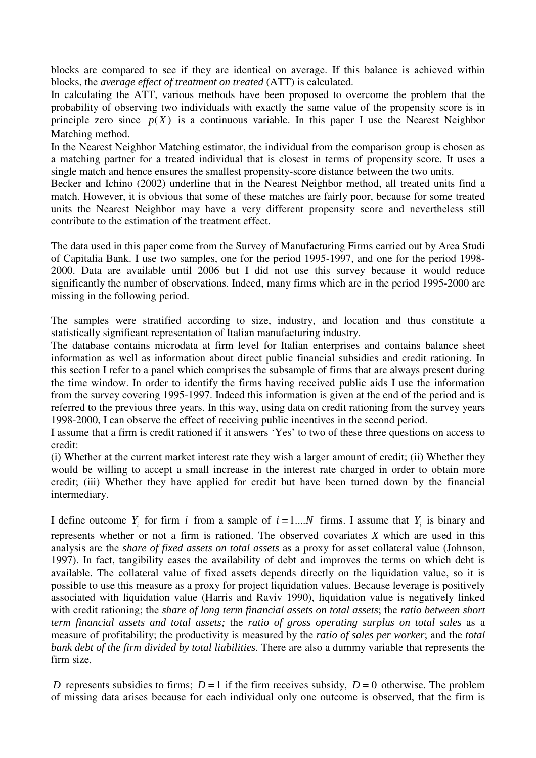blocks are compared to see if they are identical on average. If this balance is achieved within blocks, the *average effect of treatment on treated* (ATT) is calculated.

In calculating the ATT, various methods have been proposed to overcome the problem that the probability of observing two individuals with exactly the same value of the propensity score is in principle zero since  $p(X)$  is a continuous variable. In this paper I use the Nearest Neighbor Matching method.

In the Nearest Neighbor Matching estimator, the individual from the comparison group is chosen as a matching partner for a treated individual that is closest in terms of propensity score. It uses a single match and hence ensures the smallest propensity-score distance between the two units.

Becker and Ichino (2002) underline that in the Nearest Neighbor method, all treated units find a match. However, it is obvious that some of these matches are fairly poor, because for some treated units the Nearest Neighbor may have a very different propensity score and nevertheless still contribute to the estimation of the treatment effect.

The data used in this paper come from the Survey of Manufacturing Firms carried out by Area Studi of Capitalia Bank. I use two samples, one for the period 1995-1997, and one for the period 1998- 2000. Data are available until 2006 but I did not use this survey because it would reduce significantly the number of observations. Indeed, many firms which are in the period 1995-2000 are missing in the following period.

The samples were stratified according to size, industry, and location and thus constitute a statistically significant representation of Italian manufacturing industry.

The database contains microdata at firm level for Italian enterprises and contains balance sheet information as well as information about direct public financial subsidies and credit rationing. In this section I refer to a panel which comprises the subsample of firms that are always present during the time window. In order to identify the firms having received public aids I use the information from the survey covering 1995-1997. Indeed this information is given at the end of the period and is referred to the previous three years. In this way, using data on credit rationing from the survey years 1998-2000, I can observe the effect of receiving public incentives in the second period.

I assume that a firm is credit rationed if it answers 'Yes' to two of these three questions on access to credit:

(i) Whether at the current market interest rate they wish a larger amount of credit; (ii) Whether they would be willing to accept a small increase in the interest rate charged in order to obtain more credit; (iii) Whether they have applied for credit but have been turned down by the financial intermediary.

I define outcome  $Y_i$  for firm *i* from a sample of  $i = 1...N$  firms. I assume that  $Y_i$  is binary and represents whether or not a firm is rationed. The observed covariates *X* which are used in this analysis are the *share of fixed assets on total assets* as a proxy for asset collateral value (Johnson, 1997). In fact, tangibility eases the availability of debt and improves the terms on which debt is available. The collateral value of fixed assets depends directly on the liquidation value, so it is possible to use this measure as a proxy for project liquidation values. Because leverage is positively associated with liquidation value (Harris and Raviv 1990), liquidation value is negatively linked with credit rationing; the *share of long term financial assets on total assets*; the *ratio between short term financial assets and total assets;* the *ratio of gross operating surplus on total sales* as a measure of profitability; the productivity is measured by the *ratio of sales per worker*; and the *total bank debt of the firm divided by total liabilities*. There are also a dummy variable that represents the firm size.

*D* represents subsidies to firms;  $D = 1$  if the firm receives subsidy,  $D = 0$  otherwise. The problem of missing data arises because for each individual only one outcome is observed, that the firm is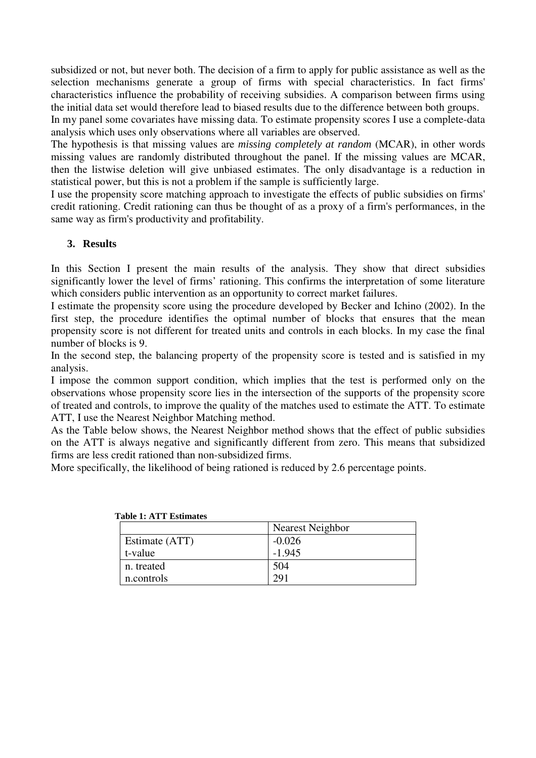subsidized or not, but never both. The decision of a firm to apply for public assistance as well as the selection mechanisms generate a group of firms with special characteristics. In fact firms' characteristics influence the probability of receiving subsidies. A comparison between firms using the initial data set would therefore lead to biased results due to the difference between both groups. In my panel some covariates have missing data. To estimate propensity scores I use a complete-data analysis which uses only observations where all variables are observed.

The hypothesis is that missing values are *missing completely at random* (MCAR), in other words missing values are randomly distributed throughout the panel. If the missing values are MCAR, then the listwise deletion will give unbiased estimates. The only disadvantage is a reduction in statistical power, but this is not a problem if the sample is sufficiently large.

I use the propensity score matching approach to investigate the effects of public subsidies on firms' credit rationing. Credit rationing can thus be thought of as a proxy of a firm's performances, in the same way as firm's productivity and profitability.

## **3. Results**

In this Section I present the main results of the analysis. They show that direct subsidies significantly lower the level of firms' rationing. This confirms the interpretation of some literature which considers public intervention as an opportunity to correct market failures.

I estimate the propensity score using the procedure developed by Becker and Ichino (2002). In the first step, the procedure identifies the optimal number of blocks that ensures that the mean propensity score is not different for treated units and controls in each blocks. In my case the final number of blocks is 9.

In the second step, the balancing property of the propensity score is tested and is satisfied in my analysis.

I impose the common support condition, which implies that the test is performed only on the observations whose propensity score lies in the intersection of the supports of the propensity score of treated and controls, to improve the quality of the matches used to estimate the ATT. To estimate ATT, I use the Nearest Neighbor Matching method.

As the Table below shows, the Nearest Neighbor method shows that the effect of public subsidies on the ATT is always negative and significantly different from zero. This means that subsidized firms are less credit rationed than non-subsidized firms.

More specifically, the likelihood of being rationed is reduced by 2.6 percentage points.

|                | Nearest Neighbor |
|----------------|------------------|
| Estimate (ATT) | $-0.026$         |
| t-value        | $-1.945$         |
| n. treated     | 504              |
| n.controls     | 291              |

|  | <b>Table 1: ATT Estimates</b> |
|--|-------------------------------|
|  |                               |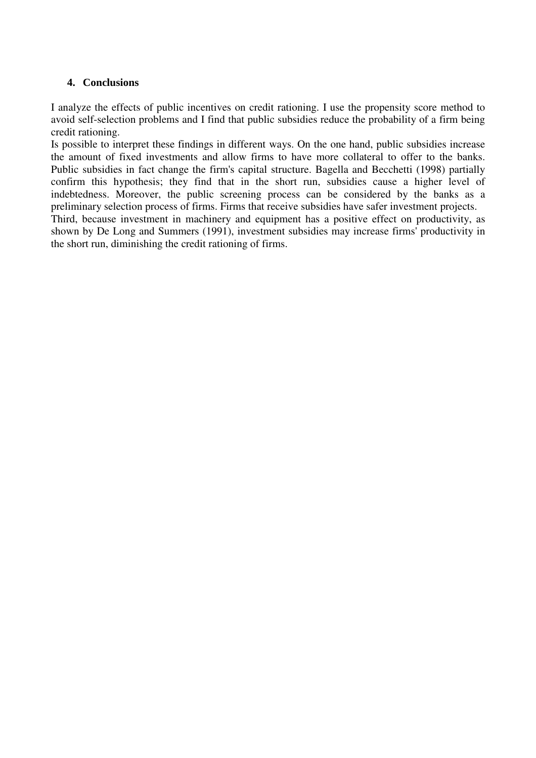### **4. Conclusions**

I analyze the effects of public incentives on credit rationing. I use the propensity score method to avoid self-selection problems and I find that public subsidies reduce the probability of a firm being credit rationing.

Is possible to interpret these findings in different ways. On the one hand, public subsidies increase the amount of fixed investments and allow firms to have more collateral to offer to the banks. Public subsidies in fact change the firm's capital structure. Bagella and Becchetti (1998) partially confirm this hypothesis; they find that in the short run, subsidies cause a higher level of indebtedness. Moreover, the public screening process can be considered by the banks as a preliminary selection process of firms. Firms that receive subsidies have safer investment projects.

Third, because investment in machinery and equipment has a positive effect on productivity, as shown by De Long and Summers (1991), investment subsidies may increase firms' productivity in the short run, diminishing the credit rationing of firms.